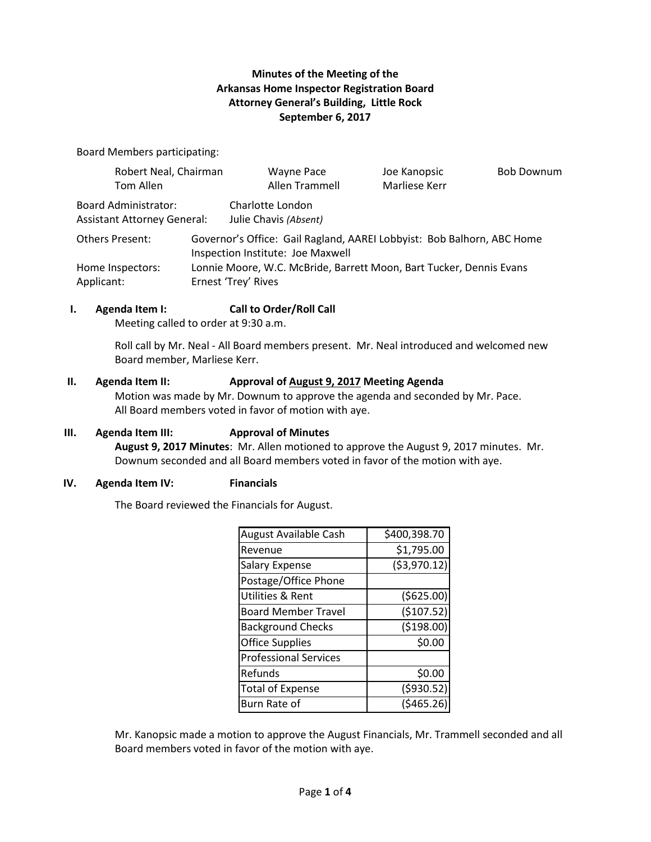# **Minutes of the Meeting of the Arkansas Home Inspector Registration Board Attorney General's Building, Little Rock September 6, 2017**

Board Members participating:

| Robert Neal, Chairman                                             |                                                                                                             | Wayne Pace                                | Joe Kanopsic  | <b>Bob Downum</b> |
|-------------------------------------------------------------------|-------------------------------------------------------------------------------------------------------------|-------------------------------------------|---------------|-------------------|
| Tom Allen                                                         |                                                                                                             | Allen Trammell                            | Marliese Kerr |                   |
| <b>Board Administrator:</b><br><b>Assistant Attorney General:</b> |                                                                                                             | Charlotte London<br>Julie Chavis (Absent) |               |                   |
| <b>Others Present:</b>                                            | Governor's Office: Gail Ragland, AAREI Lobbyist: Bob Balhorn, ABC Home<br>Inspection Institute: Joe Maxwell |                                           |               |                   |
| Home Inspectors:                                                  | Lonnie Moore, W.C. McBride, Barrett Moon, Bart Tucker, Dennis Evans                                         |                                           |               |                   |
| Applicant:                                                        |                                                                                                             | Ernest 'Trey' Rives                       |               |                   |

### **I. Agenda Item I: Call to Order/Roll Call**

Meeting called to order at 9:30 a.m.

Roll call by Mr. Neal - All Board members present. Mr. Neal introduced and welcomed new Board member, Marliese Kerr.

#### **II. Agenda Item II: Approval of August 9, 2017 Meeting Agenda**

Motion was made by Mr. Downum to approve the agenda and seconded by Mr. Pace. All Board members voted in favor of motion with aye.

### **III. Agenda Item III: Approval of Minutes**

**August 9, 2017 Minutes**: Mr. Allen motioned to approve the August 9, 2017 minutes. Mr. Downum seconded and all Board members voted in favor of the motion with aye.

### **IV. Agenda Item IV: Financials**

The Board reviewed the Financials for August.

| August Available Cash        | \$400,398.70  |
|------------------------------|---------------|
| Revenue                      | \$1,795.00    |
| <b>Salary Expense</b>        | ( \$3,970.12) |
| Postage/Office Phone         |               |
| Utilities & Rent             | ( \$625.00)   |
| <b>Board Member Travel</b>   | (\$107.52)    |
| <b>Background Checks</b>     | (\$198.00)    |
| <b>Office Supplies</b>       | \$0.00        |
| <b>Professional Services</b> |               |
| Refunds                      | \$0.00        |
| <b>Total of Expense</b>      | (5930.52)     |
| Burn Rate of                 | (\$465.26     |

Mr. Kanopsic made a motion to approve the August Financials, Mr. Trammell seconded and all Board members voted in favor of the motion with aye.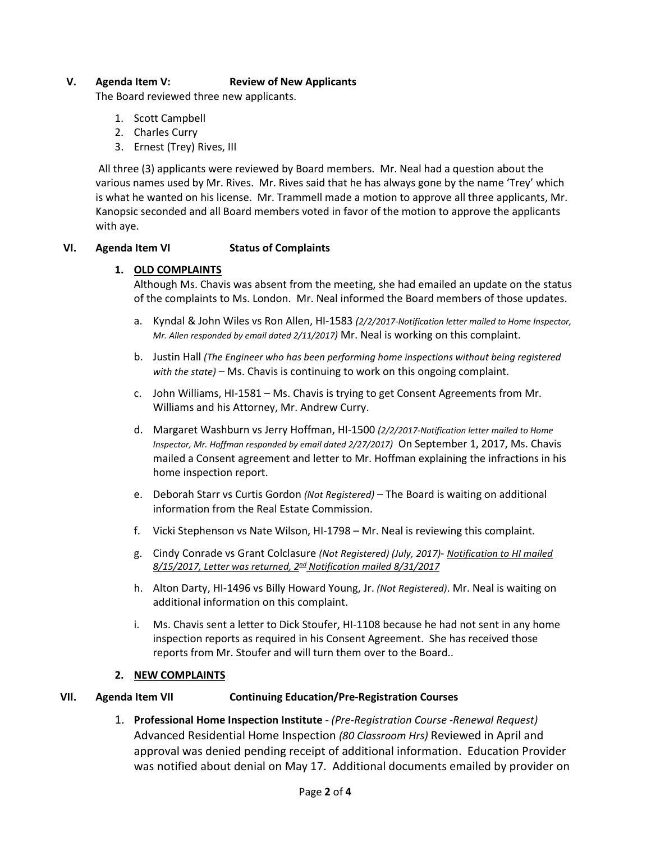## **V. Agenda Item V: Review of New Applicants**

The Board reviewed three new applicants.

- 1. Scott Campbell
- 2. Charles Curry
- 3. Ernest (Trey) Rives, III

All three (3) applicants were reviewed by Board members. Mr. Neal had a question about the various names used by Mr. Rives. Mr. Rives said that he has always gone by the name 'Trey' which is what he wanted on his license. Mr. Trammell made a motion to approve all three applicants, Mr. Kanopsic seconded and all Board members voted in favor of the motion to approve the applicants with aye.

### **VI. Agenda Item VI Status of Complaints**

### **1. OLD COMPLAINTS**

Although Ms. Chavis was absent from the meeting, she had emailed an update on the status of the complaints to Ms. London. Mr. Neal informed the Board members of those updates.

- a. Kyndal & John Wiles vs Ron Allen, HI-1583 *(2/2/2017-Notification letter mailed to Home Inspector, Mr. Allen responded by email dated 2/11/2017)* Mr. Neal is working on this complaint.
- b. Justin Hall *(The Engineer who has been performing home inspections without being registered with the state)* – Ms. Chavis is continuing to work on this ongoing complaint.
- c. John Williams, HI-1581 Ms. Chavis is trying to get Consent Agreements from Mr. Williams and his Attorney, Mr. Andrew Curry.
- d. Margaret Washburn vs Jerry Hoffman, HI-1500 *(2/2/2017-Notification letter mailed to Home Inspector, Mr. Hoffman responded by email dated 2/27/2017)* On September 1, 2017, Ms. Chavis mailed a Consent agreement and letter to Mr. Hoffman explaining the infractions in his home inspection report.
- e. Deborah Starr vs Curtis Gordon *(Not Registered)* The Board is waiting on additional information from the Real Estate Commission.
- f. Vicki Stephenson vs Nate Wilson, HI-1798 Mr. Neal is reviewing this complaint.
- g. Cindy Conrade vs Grant Colclasure *(Not Registered) (July, 2017) Notification to HI mailed 8/15/2017, Letter was returned, 2nd Notification mailed 8/31/2017*
- h. Alton Darty, HI-1496 vs Billy Howard Young, Jr. *(Not Registered)*. Mr. Neal is waiting on additional information on this complaint.
- i. Ms. Chavis sent a letter to Dick Stoufer, HI-1108 because he had not sent in any home inspection reports as required in his Consent Agreement. She has received those reports from Mr. Stoufer and will turn them over to the Board..

### **2. NEW COMPLAINTS**

### **VII. Agenda Item VII Continuing Education/Pre-Registration Courses**

1. **Professional Home Inspection Institute** - *(Pre-Registration Course -Renewal Request)* Advanced Residential Home Inspection *(80 Classroom Hrs)* Reviewed in April and approval was denied pending receipt of additional information. Education Provider was notified about denial on May 17. Additional documents emailed by provider on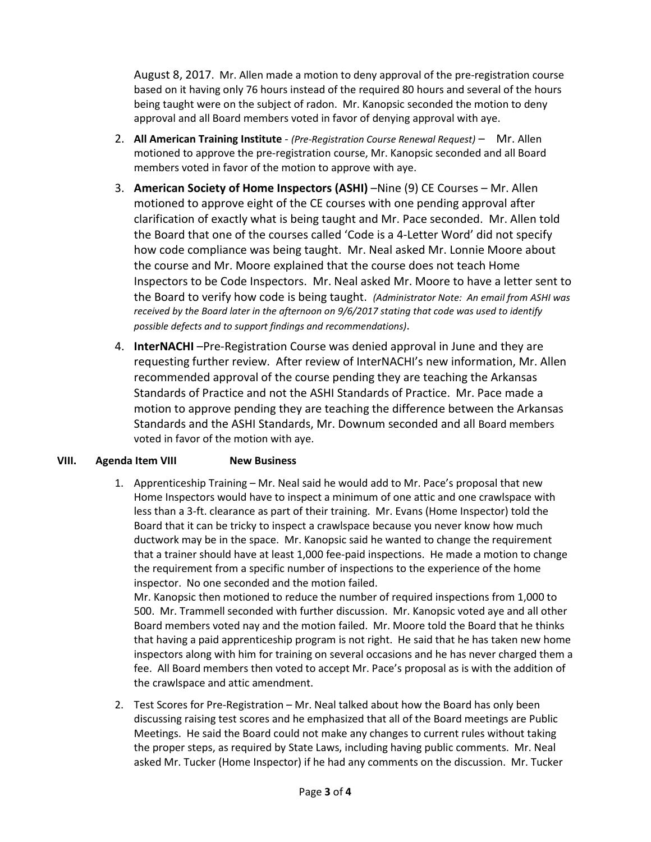August 8, 2017. Mr. Allen made a motion to deny approval of the pre-registration course based on it having only 76 hours instead of the required 80 hours and several of the hours being taught were on the subject of radon. Mr. Kanopsic seconded the motion to deny approval and all Board members voted in favor of denying approval with aye.

- 2. **All American Training Institute** *(Pre-Registration Course Renewal Request)* Mr. Allen motioned to approve the pre-registration course, Mr. Kanopsic seconded and all Board members voted in favor of the motion to approve with aye.
- 3. American Society of Home Inspectors (ASHI) –Nine (9) CE Courses Mr. Allen motioned to approve eight of the CE courses with one pending approval after clarification of exactly what is being taught and Mr. Pace seconded. Mr. Allen told the Board that one of the courses called 'Code is a 4-Letter Word' did not specify how code compliance was being taught. Mr. Neal asked Mr. Lonnie Moore about the course and Mr. Moore explained that the course does not teach Home Inspectors to be Code Inspectors. Mr. Neal asked Mr. Moore to have a letter sent to the Board to verify how code is being taught. *(Administrator Note: An email from ASHI was received by the Board later in the afternoon on 9/6/2017 stating that code was used to identify possible defects and to support findings and recommendations)*.
- 4. **InterNACHI** –Pre-Registration Course was denied approval in June and they are requesting further review. After review of InterNACHI's new information, Mr. Allen recommended approval of the course pending they are teaching the Arkansas Standards of Practice and not the ASHI Standards of Practice. Mr. Pace made a motion to approve pending they are teaching the difference between the Arkansas Standards and the ASHI Standards, Mr. Downum seconded and all Board members voted in favor of the motion with aye.

# **VIII. Agenda Item VIII New Business**

1. Apprenticeship Training – Mr. Neal said he would add to Mr. Pace's proposal that new Home Inspectors would have to inspect a minimum of one attic and one crawlspace with less than a 3-ft. clearance as part of their training. Mr. Evans (Home Inspector) told the Board that it can be tricky to inspect a crawlspace because you never know how much ductwork may be in the space. Mr. Kanopsic said he wanted to change the requirement that a trainer should have at least 1,000 fee-paid inspections. He made a motion to change the requirement from a specific number of inspections to the experience of the home inspector. No one seconded and the motion failed.

Mr. Kanopsic then motioned to reduce the number of required inspections from 1,000 to 500. Mr. Trammell seconded with further discussion. Mr. Kanopsic voted aye and all other Board members voted nay and the motion failed. Mr. Moore told the Board that he thinks that having a paid apprenticeship program is not right. He said that he has taken new home inspectors along with him for training on several occasions and he has never charged them a fee. All Board members then voted to accept Mr. Pace's proposal as is with the addition of the crawlspace and attic amendment.

2. Test Scores for Pre-Registration – Mr. Neal talked about how the Board has only been discussing raising test scores and he emphasized that all of the Board meetings are Public Meetings. He said the Board could not make any changes to current rules without taking the proper steps, as required by State Laws, including having public comments. Mr. Neal asked Mr. Tucker (Home Inspector) if he had any comments on the discussion. Mr. Tucker